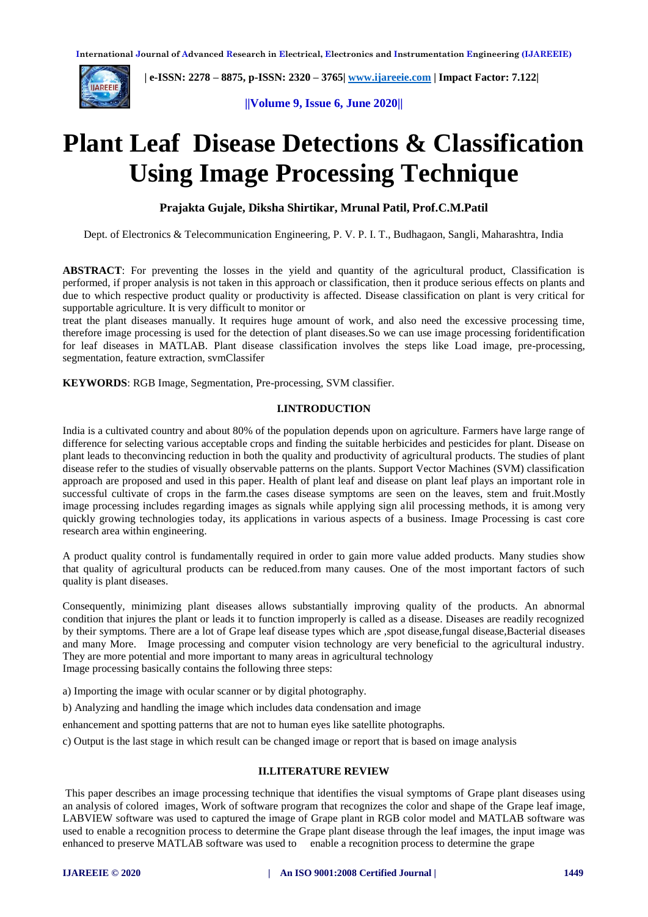

 **| e-ISSN: 2278 – 8875, p-ISSN: 2320 – 3765| [www.ijareeie.com](http://www.ijareeie.com/) | Impact Factor: 7.122|** 

**||Volume 9, Issue 6, June 2020||** 

# **Plant Leaf Disease Detections & Classification Using Image Processing Technique**

**Prajakta Gujale, Diksha Shirtikar, Mrunal Patil, Prof.C.M.Patil**

Dept. of Electronics & Telecommunication Engineering, P. V. P. I. T., Budhagaon, Sangli, Maharashtra, India

**ABSTRACT**: For preventing the losses in the yield and quantity of the agricultural product, Classification is performed, if proper analysis is not taken in this approach or classification, then it produce serious effects on plants and due to which respective product quality or productivity is affected. Disease classification on plant is very critical for supportable agriculture. It is very difficult to monitor or

treat the plant diseases manually. It requires huge amount of work, and also need the excessive processing time, therefore image processing is used for the detection of plant diseases.So we can use image processing foridentification for leaf diseases in MATLAB. Plant disease classification involves the steps like Load image, pre-processing, segmentation, feature extraction, svmClassifer

**KEYWORDS**: RGB Image, Segmentation, Pre-processing, SVM classifier.

#### **I.INTRODUCTION**

India is a cultivated country and about 80% of the population depends upon on agriculture. Farmers have large range of difference for selecting various acceptable crops and finding the suitable herbicides and pesticides for plant. Disease on plant leads to theconvincing reduction in both the quality and productivity of agricultural products. The studies of plant disease refer to the studies of visually observable patterns on the plants. Support Vector Machines (SVM) classification approach are proposed and used in this paper. Health of plant leaf and disease on plant leaf plays an important role in successful cultivate of crops in the farm.the cases disease symptoms are seen on the leaves, stem and fruit.Mostly image processing includes regarding images as signals while applying sign alil processing methods, it is among very quickly growing technologies today, its applications in various aspects of a business. Image Processing is cast core research area within engineering.

A product quality control is fundamentally required in order to gain more value added products. Many studies show that quality of agricultural products can be reduced.from many causes. One of the most important factors of such quality is plant diseases.

Consequently, minimizing plant diseases allows substantially improving quality of the products. An abnormal condition that injures the plant or leads it to function improperly is called as a disease. Diseases are readily recognized by their symptoms. There are a lot of Grape leaf disease types which are ,spot disease,fungal disease,Bacterial diseases and many More. Image processing and computer vision technology are very beneficial to the agricultural industry. They are more potential and more important to many areas in agricultural technology Image processing basically contains the following three steps:

- a) Importing the image with ocular scanner or by digital photography.
- b) Analyzing and handling the image which includes data condensation and image
- enhancement and spotting patterns that are not to human eyes like satellite photographs.
- c) Output is the last stage in which result can be changed image or report that is based on image analysis

#### **II.LITERATURE REVIEW**

This paper describes an image processing technique that identifies the visual symptoms of Grape plant diseases using an analysis of colored images, Work of software program that recognizes the color and shape of the Grape leaf image, LABVIEW software was used to captured the image of Grape plant in RGB color model and MATLAB software was used to enable a recognition process to determine the Grape plant disease through the leaf images, the input image was enhanced to preserve MATLAB software was used to enable a recognition process to determine the grape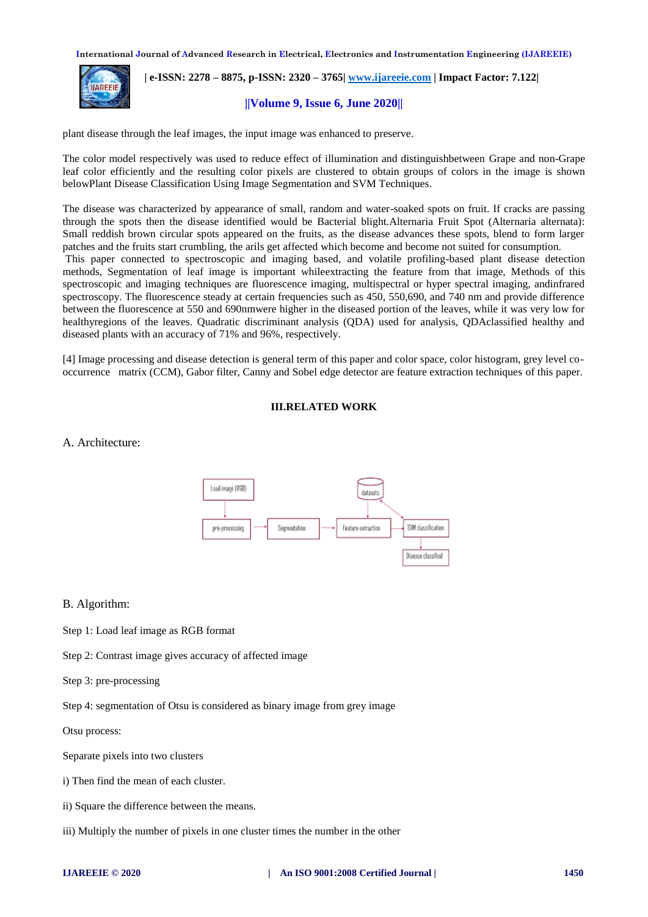

 **| e-ISSN: 2278 – 8875, p-ISSN: 2320 – 3765| [www.ijareeie.com](http://www.ijareeie.com/) | Impact Factor: 7.122|** 

#### **||Volume 9, Issue 6, June 2020||**

plant disease through the leaf images, the input image was enhanced to preserve.

The color model respectively was used to reduce effect of illumination and distinguishbetween Grape and non-Grape leaf color efficiently and the resulting color pixels are clustered to obtain groups of colors in the image is shown belowPlant Disease Classification Using Image Segmentation and SVM Techniques.

The disease was characterized by appearance of small, random and water-soaked spots on fruit. If cracks are passing through the spots then the disease identified would be Bacterial blight.Alternaria Fruit Spot (Alternaria alternata): Small reddish brown circular spots appeared on the fruits, as the disease advances these spots, blend to form larger patches and the fruits start crumbling, the arils get affected which become and become not suited for consumption.

This paper connected to spectroscopic and imaging based, and volatile profiling-based plant disease detection methods, Segmentation of leaf image is important whileextracting the feature from that image, Methods of this spectroscopic and imaging techniques are fluorescence imaging, multispectral or hyper spectral imaging, andinfrared spectroscopy. The fluorescence steady at certain frequencies such as 450, 550,690, and 740 nm and provide difference between the fluorescence at 550 and 690nmwere higher in the diseased portion of the leaves, while it was very low for healthyregions of the leaves. Quadratic discriminant analysis (QDA) used for analysis, QDAclassified healthy and diseased plants with an accuracy of 71% and 96%, respectively.

[4] Image processing and disease detection is general term of this paper and color space, color histogram, grey level cooccurrence matrix (CCM), Gabor filter, Canny and Sobel edge detector are feature extraction techniques of this paper.

#### **III.RELATED WORK**

A. Architecture:



#### B. Algorithm:

Step 1: Load leaf image as RGB format

Step 2: Contrast image gives accuracy of affected image

Step 3: pre-processing

Step 4: segmentation of Otsu is considered as binary image from grey image

Otsu process:

Separate pixels into two clusters

i) Then find the mean of each cluster.

ii) Square the difference between the means.

iii) Multiply the number of pixels in one cluster times the number in the other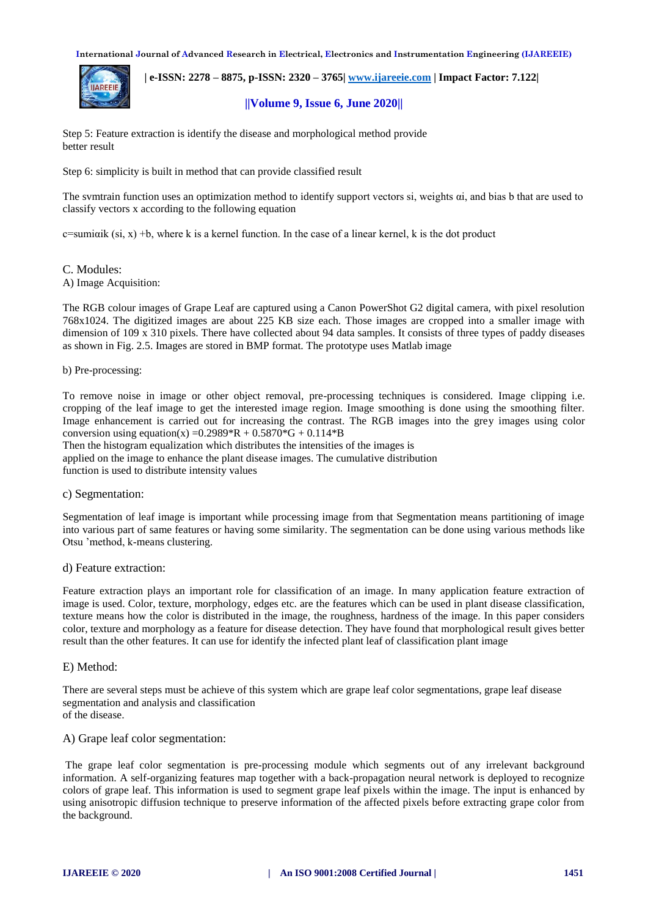

 **| e-ISSN: 2278 – 8875, p-ISSN: 2320 – 3765| [www.ijareeie.com](http://www.ijareeie.com/) | Impact Factor: 7.122|** 

#### **||Volume 9, Issue 6, June 2020||**

Step 5: Feature extraction is identify the disease and morphological method provide better result

Step 6: simplicity is built in method that can provide classified result

The svmtrain function uses an optimization method to identify support vectors si, weights αi, and bias b that are used to classify vectors x according to the following equation

 $c$ =sumiαik (si, x) +b, where k is a kernel function. In the case of a linear kernel, k is the dot product

C. Modules: A) Image Acquisition:

The RGB colour images of Grape Leaf are captured using a Canon PowerShot G2 digital camera, with pixel resolution 768x1024. The digitized images are about 225 KB size each. Those images are cropped into a smaller image with dimension of 109 x 310 pixels. There have collected about 94 data samples. It consists of three types of paddy diseases as shown in Fig. 2.5. Images are stored in BMP format. The prototype uses Matlab image

#### b) Pre-processing:

To remove noise in image or other object removal, pre-processing techniques is considered. Image clipping i.e. cropping of the leaf image to get the interested image region. Image smoothing is done using the smoothing filter. Image enhancement is carried out for increasing the contrast. The RGB images into the grey images using color conversion using equation(x) =  $0.2989*R + 0.5870*G + 0.114*B$ 

Then the histogram equalization which distributes the intensities of the images is applied on the image to enhance the plant disease images. The cumulative distribution function is used to distribute intensity values

#### c) Segmentation:

Segmentation of leaf image is important while processing image from that Segmentation means partitioning of image into various part of same features or having some similarity. The segmentation can be done using various methods like Otsu 'method, k-means clustering.

#### d) Feature extraction:

Feature extraction plays an important role for classification of an image. In many application feature extraction of image is used. Color, texture, morphology, edges etc. are the features which can be used in plant disease classification, texture means how the color is distributed in the image, the roughness, hardness of the image. In this paper considers color, texture and morphology as a feature for disease detection. They have found that morphological result gives better result than the other features. It can use for identify the infected plant leaf of classification plant image

#### E) Method:

There are several steps must be achieve of this system which are grape leaf color segmentations, grape leaf disease segmentation and analysis and classification of the disease.

### A) Grape leaf color segmentation:

The grape leaf color segmentation is pre-processing module which segments out of any irrelevant background information. A self-organizing features map together with a back-propagation neural network is deployed to recognize colors of grape leaf. This information is used to segment grape leaf pixels within the image. The input is enhanced by using anisotropic diffusion technique to preserve information of the affected pixels before extracting grape color from the background.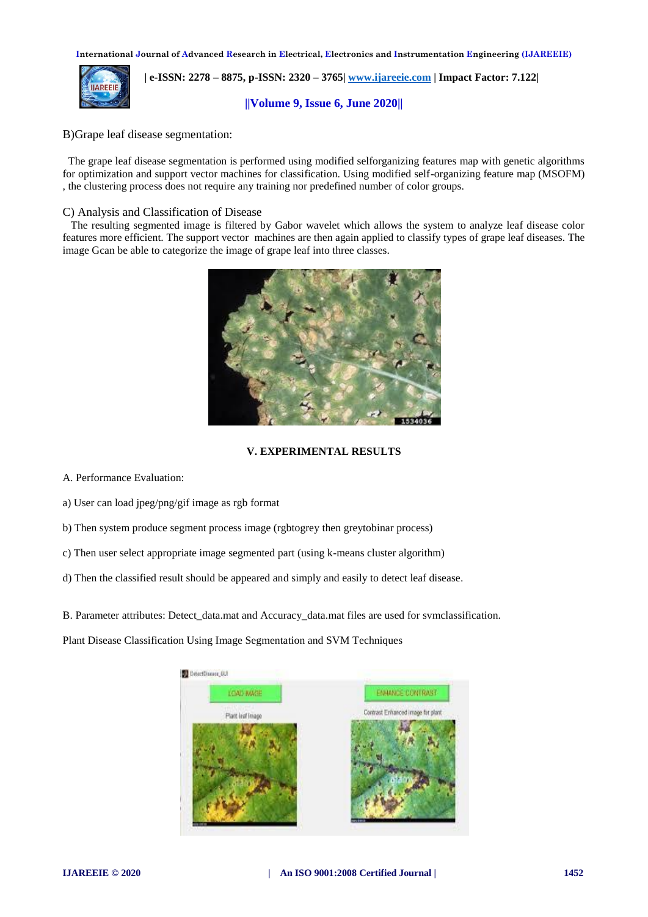

 **| e-ISSN: 2278 – 8875, p-ISSN: 2320 – 3765| [www.ijareeie.com](http://www.ijareeie.com/) | Impact Factor: 7.122|** 

#### **||Volume 9, Issue 6, June 2020||**

B)Grape leaf disease segmentation:

 The grape leaf disease segmentation is performed using modified selforganizing features map with genetic algorithms for optimization and support vector machines for classification. Using modified self-organizing feature map (MSOFM) , the clustering process does not require any training nor predefined number of color groups.

#### C) Analysis and Classification of Disease

 The resulting segmented image is filtered by Gabor wavelet which allows the system to analyze leaf disease color features more efficient. The support vector machines are then again applied to classify types of grape leaf diseases. The image Gcan be able to categorize the image of grape leaf into three classes.



#### **V. EXPERIMENTAL RESULTS**

- A. Performance Evaluation:
- a) User can load jpeg/png/gif image as rgb format
- b) Then system produce segment process image (rgbtogrey then greytobinar process)
- c) Then user select appropriate image segmented part (using k-means cluster algorithm)
- d) Then the classified result should be appeared and simply and easily to detect leaf disease.

B. Parameter attributes: Detect data.mat and Accuracy data.mat files are used for svmclassification.

Plant Disease Classification Using Image Segmentation and SVM Techniques

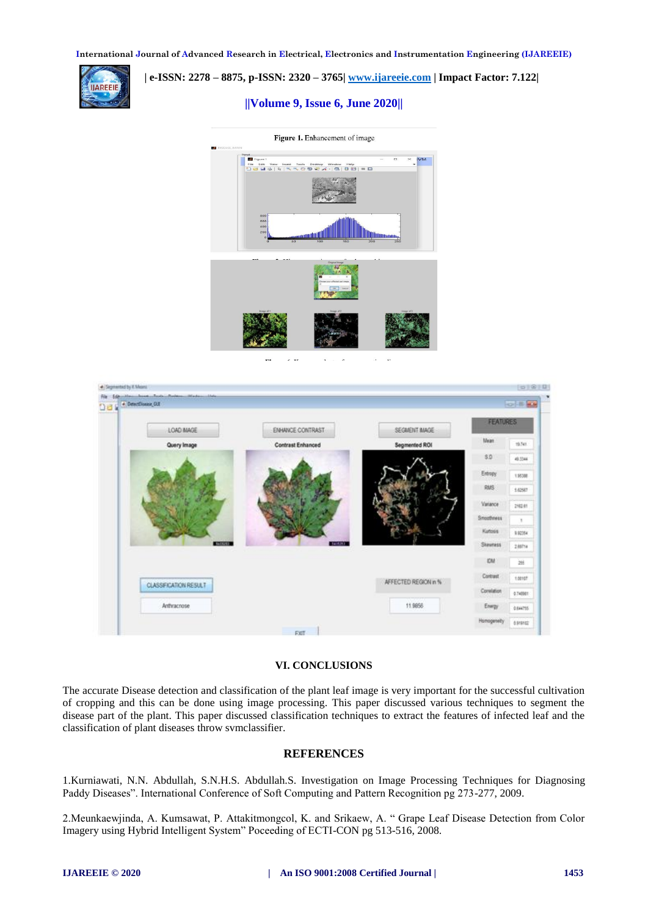**||Volume 9, Issue 6, June 2020||** 



## **| e-ISSN: 2278 – 8875, p-ISSN: 2320 – 3765| [www.ijareeie.com](http://www.ijareeie.com/) | Impact Factor: 7.122|**



i si

| <b>DBS</b> | + Detectioning GLT                             |                   |                      |                 | <b>ROCHE MAN</b> |
|------------|------------------------------------------------|-------------------|----------------------|-----------------|------------------|
|            | LOAD BIAGE<br>ENHANCE CONTRAST<br>SEGMENT MAGE |                   | <b>FEATURES</b>      |                 |                  |
|            | Query Image                                    | Contrast Enhanced | Segmented ROI        | Mean            | 19741.           |
|            |                                                |                   |                      | \$0             | 49.3344          |
|            |                                                |                   |                      | Entropy         | 1,95308          |
|            |                                                |                   |                      | <b>RMS</b>      | 1,62507          |
|            |                                                |                   |                      | Vanance         | 210241           |
|            |                                                |                   |                      | Sincothness     | T.               |
|            |                                                |                   |                      | Kutosis         | 142354           |
|            | <b>KINGHI</b>                                  | <b>STREET</b>     |                      | <b>Skeuness</b> | 28stha           |
|            |                                                |                   |                      | <b>DM</b>       | $^{+6}$          |
|            |                                                |                   | AFFECTED REGION in % | Contrast        | 1,00107          |
|            | <b>CLASSIFICATION RESULT</b>                   |                   |                      | Constation      | 0.74091          |
|            | Anthracnose                                    |                   | 11.9856              | Energy          | 0.644795         |
|            |                                                |                   |                      | Homogeneity     | 0.919102         |

#### **VI. CONCLUSIONS**

The accurate Disease detection and classification of the plant leaf image is very important for the successful cultivation of cropping and this can be done using image processing. This paper discussed various techniques to segment the disease part of the plant. This paper discussed classification techniques to extract the features of infected leaf and the classification of plant diseases throw svmclassifier.

#### **REFERENCES**

1.Kurniawati, N.N. Abdullah, S.N.H.S. Abdullah.S. Investigation on Image Processing Techniques for Diagnosing Paddy Diseases". International Conference of Soft Computing and Pattern Recognition pg 273-277, 2009.

2.Meunkaewjinda, A. Kumsawat, P. Attakitmongcol, K. and Srikaew, A. " Grape Leaf Disease Detection from Color Imagery using Hybrid Intelligent System" Poceeding of ECTI-CON pg 513-516, 2008.